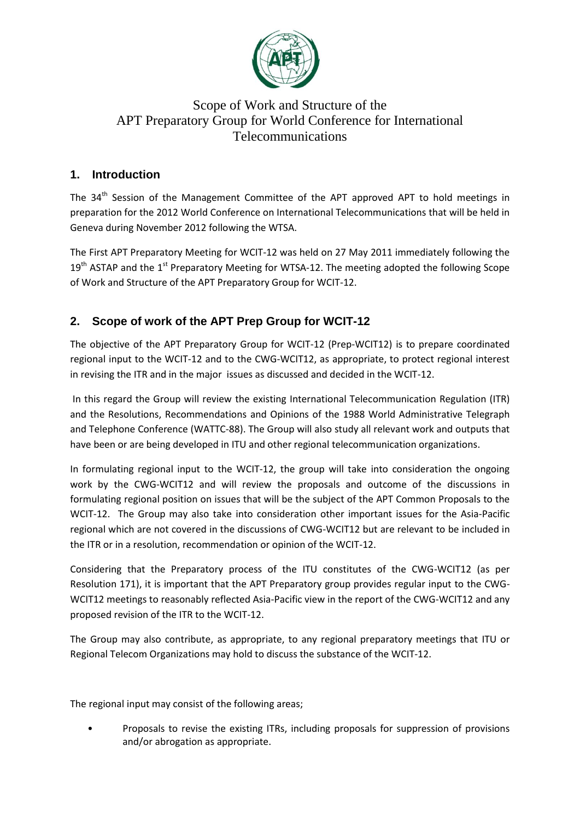

# Scope of Work and Structure of the APT Preparatory Group for World Conference for International Telecommunications

## **1. Introduction**

The 34<sup>th</sup> Session of the Management Committee of the APT approved APT to hold meetings in preparation for the 2012 World Conference on International Telecommunications that will be held in Geneva during November 2012 following the WTSA.

The First APT Preparatory Meeting for WCIT-12 was held on 27 May 2011 immediately following the  $19<sup>th</sup>$  ASTAP and the 1<sup>st</sup> Preparatory Meeting for WTSA-12. The meeting adopted the following Scope of Work and Structure of the APT Preparatory Group for WCIT-12.

## **2. Scope of work of the APT Prep Group for WCIT-12**

The objective of the APT Preparatory Group for WCIT-12 (Prep-WCIT12) is to prepare coordinated regional input to the WCIT-12 and to the CWG-WCIT12, as appropriate, to protect regional interest in revising the ITR and in the major issues as discussed and decided in the WCIT-12.

In this regard the Group will review the existing International Telecommunication Regulation (ITR) and the Resolutions, Recommendations and Opinions of the 1988 World Administrative Telegraph and Telephone Conference (WATTC-88). The Group will also study all relevant work and outputs that have been or are being developed in ITU and other regional telecommunication organizations.

In formulating regional input to the WCIT-12, the group will take into consideration the ongoing work by the CWG-WCIT12 and will review the proposals and outcome of the discussions in formulating regional position on issues that will be the subject of the APT Common Proposals to the WCIT-12. The Group may also take into consideration other important issues for the Asia-Pacific regional which are not covered in the discussions of CWG-WCIT12 but are relevant to be included in the ITR or in a resolution, recommendation or opinion of the WCIT-12.

Considering that the Preparatory process of the ITU constitutes of the CWG-WCIT12 (as per Resolution 171), it is important that the APT Preparatory group provides regular input to the CWG-WCIT12 meetings to reasonably reflected Asia-Pacific view in the report of the CWG-WCIT12 and any proposed revision of the ITR to the WCIT-12.

The Group may also contribute, as appropriate, to any regional preparatory meetings that ITU or Regional Telecom Organizations may hold to discuss the substance of the WCIT-12.

The regional input may consist of the following areas;

• Proposals to revise the existing ITRs, including proposals for suppression of provisions and/or abrogation as appropriate.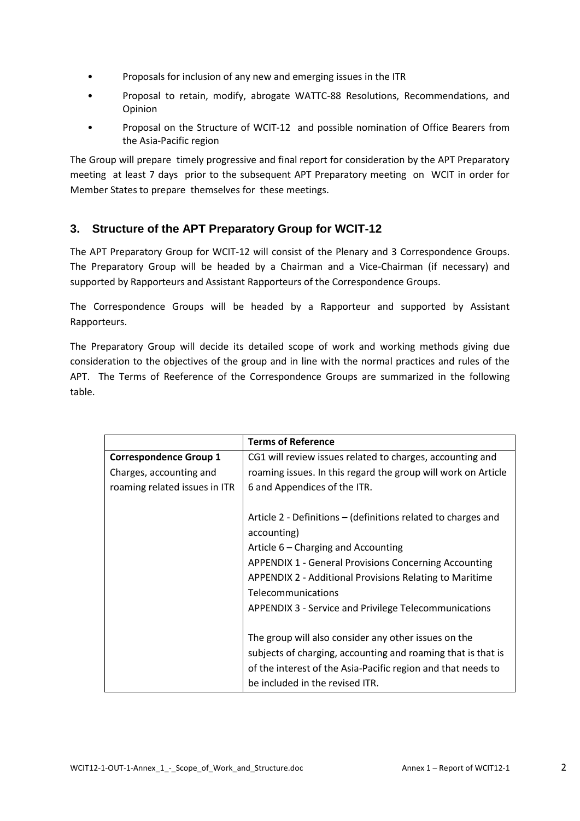- Proposals for inclusion of any new and emerging issues in the ITR
- Proposal to retain, modify, abrogate WATTC-88 Resolutions, Recommendations, and Opinion
- Proposal on the Structure of WCIT-12 and possible nomination of Office Bearers from the Asia-Pacific region

The Group will prepare timely progressive and final report for consideration by the APT Preparatory meeting at least 7 days prior to the subsequent APT Preparatory meeting on WCIT in order for Member States to prepare themselves for these meetings.

## **3. Structure of the APT Preparatory Group for WCIT-12**

The APT Preparatory Group for WCIT-12 will consist of the Plenary and 3 Correspondence Groups. The Preparatory Group will be headed by a Chairman and a Vice-Chairman (if necessary) and supported by Rapporteurs and Assistant Rapporteurs of the Correspondence Groups.

The Correspondence Groups will be headed by a Rapporteur and supported by Assistant Rapporteurs.

The Preparatory Group will decide its detailed scope of work and working methods giving due consideration to the objectives of the group and in line with the normal practices and rules of the APT. The Terms of Reeference of the Correspondence Groups are summarized in the following table.

|                               | <b>Terms of Reference</b>                                     |
|-------------------------------|---------------------------------------------------------------|
| <b>Correspondence Group 1</b> | CG1 will review issues related to charges, accounting and     |
| Charges, accounting and       | roaming issues. In this regard the group will work on Article |
| roaming related issues in ITR | 6 and Appendices of the ITR.                                  |
|                               |                                                               |
|                               | Article 2 - Definitions – (definitions related to charges and |
|                               | accounting)                                                   |
|                               | Article 6 – Charging and Accounting                           |
|                               | <b>APPENDIX 1 - General Provisions Concerning Accounting</b>  |
|                               | APPENDIX 2 - Additional Provisions Relating to Maritime       |
|                               | Telecommunications                                            |
|                               | APPENDIX 3 - Service and Privilege Telecommunications         |
|                               |                                                               |
|                               | The group will also consider any other issues on the          |
|                               | subjects of charging, accounting and roaming that is that is  |
|                               | of the interest of the Asia-Pacific region and that needs to  |
|                               | be included in the revised ITR.                               |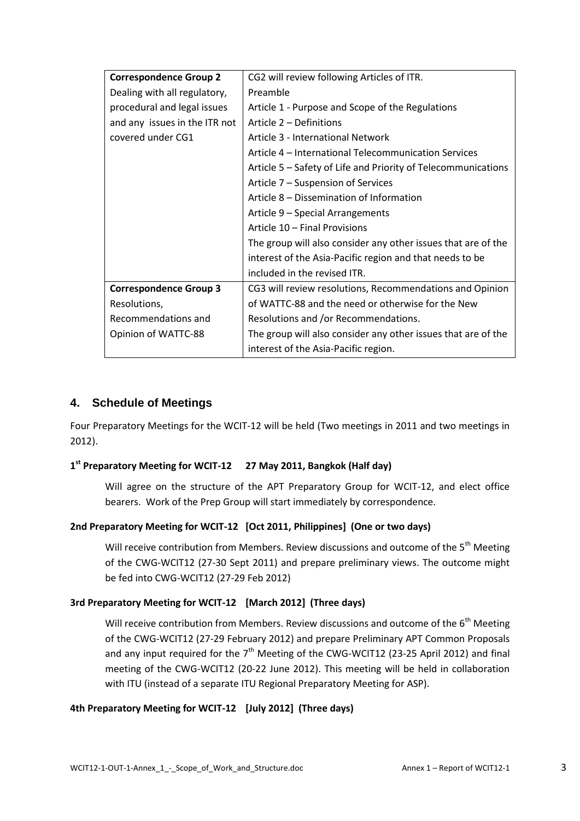| <b>Correspondence Group 2</b> | CG2 will review following Articles of ITR.                    |
|-------------------------------|---------------------------------------------------------------|
| Dealing with all regulatory,  | Preamble                                                      |
| procedural and legal issues   | Article 1 - Purpose and Scope of the Regulations              |
| and any issues in the ITR not | Article 2 – Definitions                                       |
| covered under CG1             | Article 3 - International Network                             |
|                               | Article 4 – International Telecommunication Services          |
|                               | Article 5 - Safety of Life and Priority of Telecommunications |
|                               | Article 7 – Suspension of Services                            |
|                               | Article 8 – Dissemination of Information                      |
|                               | Article 9 - Special Arrangements                              |
|                               | Article 10 - Final Provisions                                 |
|                               | The group will also consider any other issues that are of the |
|                               | interest of the Asia-Pacific region and that needs to be      |
|                               | included in the revised ITR.                                  |
| <b>Correspondence Group 3</b> | CG3 will review resolutions, Recommendations and Opinion      |
| Resolutions,                  | of WATTC-88 and the need or otherwise for the New             |
| Recommendations and           | Resolutions and /or Recommendations.                          |
| Opinion of WATTC-88           | The group will also consider any other issues that are of the |
|                               | interest of the Asia-Pacific region.                          |

### **4. Schedule of Meetings**

Four Preparatory Meetings for the WCIT-12 will be held (Two meetings in 2011 and two meetings in 2012).

#### **1 st Preparatory Meeting for WCIT-12 27 May 2011, Bangkok (Half day)**

Will agree on the structure of the APT Preparatory Group for WCIT-12, and elect office bearers. Work of the Prep Group will start immediately by correspondence.

#### **2nd Preparatory Meeting for WCIT-12 [Oct 2011, Philippines] (One or two days)**

Will receive contribution from Members. Review discussions and outcome of the  $5<sup>th</sup>$  Meeting of the CWG-WCIT12 (27-30 Sept 2011) and prepare preliminary views. The outcome might be fed into CWG-WCIT12 (27-29 Feb 2012)

#### **3rd Preparatory Meeting for WCIT-12 [March 2012] (Three days)**

Will receive contribution from Members. Review discussions and outcome of the  $6<sup>th</sup>$  Meeting of the CWG-WCIT12 (27-29 February 2012) and prepare Preliminary APT Common Proposals and any input required for the  $7<sup>th</sup>$  Meeting of the CWG-WCIT12 (23-25 April 2012) and final meeting of the CWG-WCIT12 (20-22 June 2012). This meeting will be held in collaboration with ITU (instead of a separate ITU Regional Preparatory Meeting for ASP).

#### **4th Preparatory Meeting for WCIT-12 [July 2012] (Three days)**